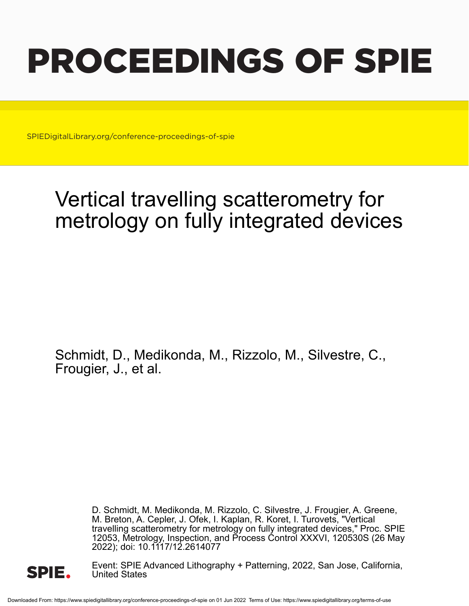# PROCEEDINGS OF SPIE

SPIEDigitalLibrary.org/conference-proceedings-of-spie

## Vertical travelling scatterometry for metrology on fully integrated devices

Schmidt, D., Medikonda, M., Rizzolo, M., Silvestre, C., Frougier, J., et al.

> D. Schmidt, M. Medikonda, M. Rizzolo, C. Silvestre, J. Frougier, A. Greene, M. Breton, A. Cepler, J. Ofek, I. Kaplan, R. Koret, I. Turovets, "Vertical travelling scatterometry for metrology on fully integrated devices," Proc. SPIE 12053, Metrology, Inspection, and Process Control XXXVI, 120530S (26 May 2022); doi: 10.1117/12.2614077



Event: SPIE Advanced Lithography + Patterning, 2022, San Jose, California, United States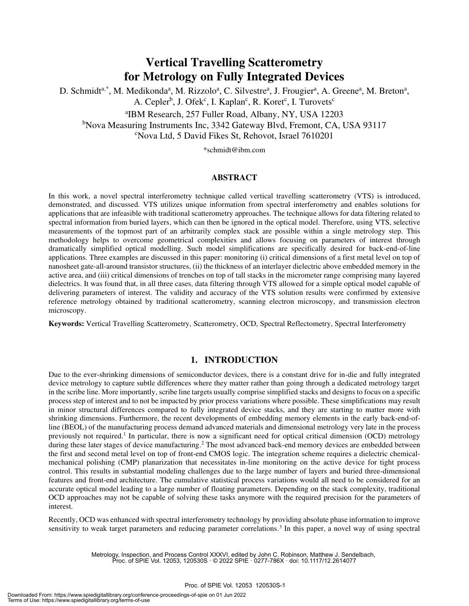### **Vertical Travelling Scatterometry for Metrology on Fully Integrated Devices**

D. Schmidt<sup>a,\*</sup>, M. Medikonda<sup>a</sup>, M. Rizzolo<sup>a</sup>, C. Silvestre<sup>a</sup>, J. Frougier<sup>a</sup>, A. Greene<sup>a</sup>, M. Breton<sup>a</sup>, A. Cepler<sup>b</sup>, J. Ofek<sup>c</sup>, I. Kaplan<sup>c</sup>, R. Koret<sup>c</sup>, I. Turovets<sup>c</sup>

a IBM Research, 257 Fuller Road, Albany, NY, USA 12203 <sup>b</sup>Nova Measuring Instruments Inc, 3342 Gateway Blvd, Fremont, CA, USA 93117 <sup>c</sup>Nova Ltd, 5 David Fikes St, Rehovot, Israel 7610201

\*schmidt@ibm.com

#### **ABSTRACT**

In this work, a novel spectral interferometry technique called vertical travelling scatterometry (VTS) is introduced, demonstrated, and discussed. VTS utilizes unique information from spectral interferometry and enables solutions for applications that are infeasible with traditional scatterometry approaches. The technique allows for data filtering related to spectral information from buried layers, which can then be ignored in the optical model. Therefore, using VTS, selective measurements of the topmost part of an arbitrarily complex stack are possible within a single metrology step. This methodology helps to overcome geometrical complexities and allows focusing on parameters of interest through dramatically simplified optical modelling. Such model simplifications are specifically desired for back-end-of-line applications. Three examples are discussed in this paper: monitoring (i) critical dimensions of a first metal level on top of nanosheet gate-all-around transistor structures, (ii) the thickness of an interlayer dielectric above embedded memory in the active area, and (iii) critical dimensions of trenches on top of tall stacks in the micrometer range comprising many layered dielectrics. It was found that, in all three cases, data filtering through VTS allowed for a simple optical model capable of delivering parameters of interest. The validity and accuracy of the VTS solution results were confirmed by extensive reference metrology obtained by traditional scatterometry, scanning electron microscopy, and transmission electron microscopy.

**Keywords:** Vertical Travelling Scatterometry, Scatterometry, OCD, Spectral Reflectometry, Spectral Interferometry

#### **1. INTRODUCTION**

Due to the ever-shrinking dimensions of semiconductor devices, there is a constant drive for in-die and fully integrated device metrology to capture subtle differences where they matter rather than going through a dedicated metrology target in the scribe line. More importantly, scribe line targets usually comprise simplified stacks and designs to focus on a specific process step of interest and to not be impacted by prior process variations where possible. These simplifications may result in minor structural differences compared to fully integrated device stacks, and they are starting to matter more with shrinking dimensions. Furthermore, the recent developments of embedding memory elements in the early back-end-ofline (BEOL) of the manufacturing process demand advanced materials and dimensional metrology very late in the process previously not required.<sup>1</sup> In particular, there is now a significant need for optical critical dimension (OCD) metrology during these later stages of device manufacturing.<sup>2</sup> The most advanced back-end memory devices are embedded between the first and second metal level on top of front-end CMOS logic. The integration scheme requires a dielectric chemicalmechanical polishing (CMP) planarization that necessitates in-line monitoring on the active device for tight process control. This results in substantial modeling challenges due to the large number of layers and buried three-dimensional features and front-end architecture. The cumulative statistical process variations would all need to be considered for an accurate optical model leading to a large number of floating parameters. Depending on the stack complexity, traditional OCD approaches may not be capable of solving these tasks anymore with the required precision for the parameters of interest.

Recently, OCD was enhanced with spectral interferometry technology by providing absolute phase information to improve sensitivity to weak target parameters and reducing parameter correlations.<sup>3</sup> In this paper, a novel way of using spectral

> Metrology, Inspection, and Process Control XXXVI, edited by John C. Robinson, Matthew J. Sendelbach, Proc. of SPIE Vol. 12053, 120530S · © 2022 SPIE · 0277-786X · doi: 10.1117/12.2614077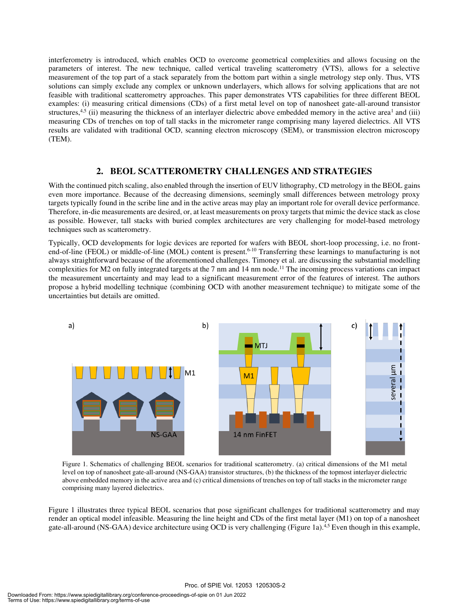interferometry is introduced, which enables OCD to overcome geometrical complexities and allows focusing on the parameters of interest. The new technique, called vertical traveling scatterometry (VTS), allows for a selective measurement of the top part of a stack separately from the bottom part within a single metrology step only. Thus, VTS solutions can simply exclude any complex or unknown underlayers, which allows for solving applications that are not feasible with traditional scatterometry approaches. This paper demonstrates VTS capabilities for three different BEOL examples: (i) measuring critical dimensions (CDs) of a first metal level on top of nanosheet gate-all-around transistor structures,<sup>4,5</sup> (ii) measuring the thickness of an interlayer dielectric above embedded memory in the active area<sup>1</sup> and (iii) measuring CDs of trenches on top of tall stacks in the micrometer range comprising many layered dielectrics. All VTS results are validated with traditional OCD, scanning electron microscopy (SEM), or transmission electron microscopy (TEM).

#### **2. BEOL SCATTEROMETRY CHALLENGES AND STRATEGIES**

With the continued pitch scaling, also enabled through the insertion of EUV lithography, CD metrology in the BEOL gains even more importance. Because of the decreasing dimensions, seemingly small differences between metrology proxy targets typically found in the scribe line and in the active areas may play an important role for overall device performance. Therefore, in-die measurements are desired, or, at least measurements on proxy targets that mimic the device stack as close as possible. However, tall stacks with buried complex architectures are very challenging for model-based metrology techniques such as scatterometry.

Typically, OCD developments for logic devices are reported for wafers with BEOL short-loop processing, i.e. no frontend-of-line (FEOL) or middle-of-line (MOL) content is present.<sup>6-10</sup> Transferring these learnings to manufacturing is not always straightforward because of the aforementioned challenges. Timoney et al. are discussing the substantial modelling complexities for M2 on fully integrated targets at the 7 nm and 14 nm node.<sup>11</sup> The incoming process variations can impact the measurement uncertainty and may lead to a significant measurement error of the features of interest. The authors propose a hybrid modelling technique (combining OCD with another measurement technique) to mitigate some of the uncertainties but details are omitted.



Figure 1. Schematics of challenging BEOL scenarios for traditional scatterometry. (a) critical dimensions of the M1 metal level on top of nanosheet gate-all-around (NS-GAA) transistor structures, (b) the thickness of the topmost interlayer dielectric above embedded memory in the active area and (c) critical dimensions of trenches on top of tall stacks in the micrometer range comprising many layered dielectrics.

Figure 1 illustrates three typical BEOL scenarios that pose significant challenges for traditional scatterometry and may render an optical model infeasible. Measuring the line height and CDs of the first metal layer (M1) on top of a nanosheet gate-all-around (NS-GAA) device architecture using OCD is very challenging (Figure 1a).<sup>4,5</sup> Even though in this example,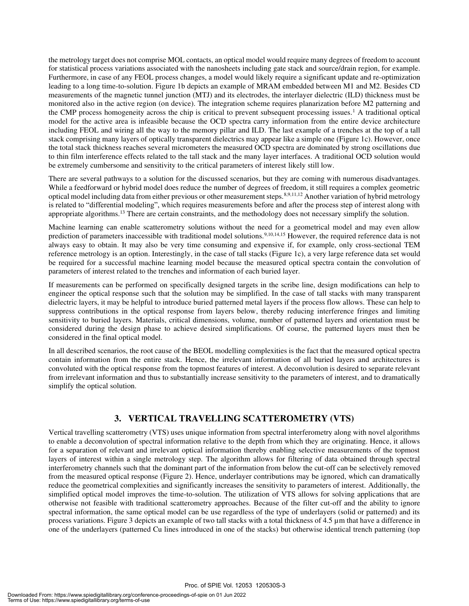the metrology target does not comprise MOL contacts, an optical model would require many degrees of freedom to account for statistical process variations associated with the nanosheets including gate stack and source/drain region, for example. Furthermore, in case of any FEOL process changes, a model would likely require a significant update and re-optimization leading to a long time-to-solution. Figure 1b depicts an example of MRAM embedded between M1 and M2. Besides CD measurements of the magnetic tunnel junction (MTJ) and its electrodes, the interlayer dielectric (ILD) thickness must be monitored also in the active region (on device). The integration scheme requires planarization before M2 patterning and the CMP process homogeneity across the chip is critical to prevent subsequent processing issues.<sup>1</sup> A traditional optical model for the active area is infeasible because the OCD spectra carry information from the entire device architecture including FEOL and wiring all the way to the memory pillar and ILD. The last example of a trenches at the top of a tall stack comprising many layers of optically transparent dielectrics may appear like a simple one (Figure 1c). However, once the total stack thickness reaches several micrometers the measured OCD spectra are dominated by strong oscillations due to thin film interference effects related to the tall stack and the many layer interfaces. A traditional OCD solution would be extremely cumbersome and sensitivity to the critical parameters of interest likely still low.

There are several pathways to a solution for the discussed scenarios, but they are coming with numerous disadvantages. While a feedforward or hybrid model does reduce the number of degrees of freedom, it still requires a complex geometric optical model including data from either previous or other measurement steps.<sup>8,9,11,12</sup> Another variation of hybrid metrology is related to "differential modeling", which requires measurements before and after the process step of interest along with appropriate algorithms.<sup>13</sup> There are certain constraints, and the methodology does not necessary simplify the solution.

Machine learning can enable scatterometry solutions without the need for a geometrical model and may even allow prediction of parameters inaccessible with traditional model solutions.<sup>9,10,14,15</sup> However, the required reference data is not always easy to obtain. It may also be very time consuming and expensive if, for example, only cross-sectional TEM reference metrology is an option. Interestingly, in the case of tall stacks (Figure 1c), a very large reference data set would be required for a successful machine learning model because the measured optical spectra contain the convolution of parameters of interest related to the trenches and information of each buried layer.

If measurements can be performed on specifically designed targets in the scribe line, design modifications can help to engineer the optical response such that the solution may be simplified. In the case of tall stacks with many transparent dielectric layers, it may be helpful to introduce buried patterned metal layers if the process flow allows. These can help to suppress contributions in the optical response from layers below, thereby reducing interference fringes and limiting sensitivity to buried layers. Materials, critical dimensions, volume, number of patterned layers and orientation must be considered during the design phase to achieve desired simplifications. Of course, the patterned layers must then be considered in the final optical model.

In all described scenarios, the root cause of the BEOL modelling complexities is the fact that the measured optical spectra contain information from the entire stack. Hence, the irrelevant information of all buried layers and architectures is convoluted with the optical response from the topmost features of interest. A deconvolution is desired to separate relevant from irrelevant information and thus to substantially increase sensitivity to the parameters of interest, and to dramatically simplify the optical solution.

#### **3. VERTICAL TRAVELLING SCATTEROMETRY (VTS)**

Vertical travelling scatterometry (VTS) uses unique information from spectral interferometry along with novel algorithms to enable a deconvolution of spectral information relative to the depth from which they are originating. Hence, it allows for a separation of relevant and irrelevant optical information thereby enabling selective measurements of the topmost layers of interest within a single metrology step. The algorithm allows for filtering of data obtained through spectral interferometry channels such that the dominant part of the information from below the cut-off can be selectively removed from the measured optical response (Figure 2). Hence, underlayer contributions may be ignored, which can dramatically reduce the geometrical complexities and significantly increases the sensitivity to parameters of interest. Additionally, the simplified optical model improves the time-to-solution. The utilization of VTS allows for solving applications that are otherwise not feasible with traditional scatterometry approaches. Because of the filter cut-off and the ability to ignore spectral information, the same optical model can be use regardless of the type of underlayers (solid or patterned) and its process variations. Figure 3 depicts an example of two tall stacks with a total thickness of 4.5 µm that have a difference in one of the underlayers (patterned Cu lines introduced in one of the stacks) but otherwise identical trench patterning (top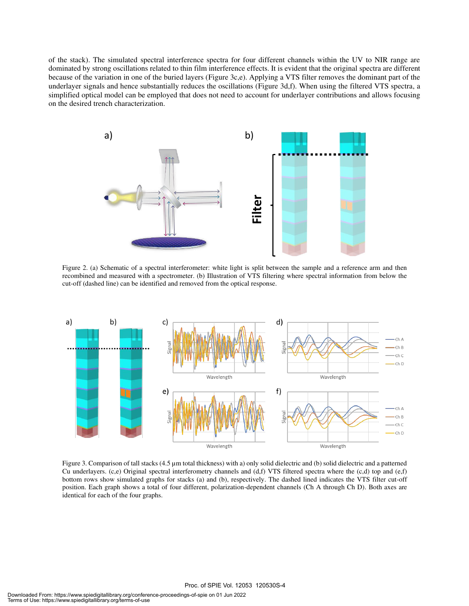of the stack). The simulated spectral interference spectra for four different channels within the UV to NIR range are dominated by strong oscillations related to thin film interference effects. It is evident that the original spectra are different because of the variation in one of the buried layers (Figure 3c,e). Applying a VTS filter removes the dominant part of the underlayer signals and hence substantially reduces the oscillations (Figure 3d,f). When using the filtered VTS spectra, a simplified optical model can be employed that does not need to account for underlayer contributions and allows focusing on the desired trench characterization.



Figure 2. (a) Schematic of a spectral interferometer: white light is split between the sample and a reference arm and then recombined and measured with a spectrometer. (b) Illustration of VTS filtering where spectral information from below the cut-off (dashed line) can be identified and removed from the optical response.



Figure 3. Comparison of tall stacks (4.5 µm total thickness) with a) only solid dielectric and (b) solid dielectric and a patterned Cu underlayers. (c,e) Original spectral interferometry channels and (d,f) VTS filtered spectra where the (c,d) top and (e,f) bottom rows show simulated graphs for stacks (a) and (b), respectively. The dashed lined indicates the VTS filter cut-off position. Each graph shows a total of four different, polarization-dependent channels (Ch A through Ch D). Both axes are identical for each of the four graphs.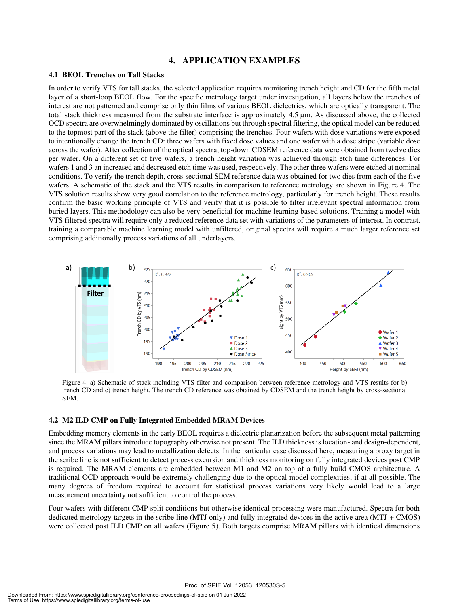#### **4. APPLICATION EXAMPLES**

#### **4.1 BEOL Trenches on Tall Stacks**

In order to verify VTS for tall stacks, the selected application requires monitoring trench height and CD for the fifth metal layer of a short-loop BEOL flow. For the specific metrology target under investigation, all layers below the trenches of interest are not patterned and comprise only thin films of various BEOL dielectrics, which are optically transparent. The total stack thickness measured from the substrate interface is approximately 4.5 µm. As discussed above, the collected OCD spectra are overwhelmingly dominated by oscillations but through spectral filtering, the optical model can be reduced to the topmost part of the stack (above the filter) comprising the trenches. Four wafers with dose variations were exposed to intentionally change the trench CD: three wafers with fixed dose values and one wafer with a dose stripe (variable dose across the wafer). After collection of the optical spectra, top-down CDSEM reference data were obtained from twelve dies per wafer. On a different set of five wafers, a trench height variation was achieved through etch time differences. For wafers 1 and 3 an increased and decreased etch time was used, respectively. The other three wafers were etched at nominal conditions. To verify the trench depth, cross-sectional SEM reference data was obtained for two dies from each of the five wafers. A schematic of the stack and the VTS results in comparison to reference metrology are shown in Figure 4. The VTS solution results show very good correlation to the reference metrology, particularly for trench height. These results confirm the basic working principle of VTS and verify that it is possible to filter irrelevant spectral information from buried layers. This methodology can also be very beneficial for machine learning based solutions. Training a model with VTS filtered spectra will require only a reduced reference data set with variations of the parameters of interest. In contrast, training a comparable machine learning model with unfiltered, original spectra will require a much larger reference set comprising additionally process variations of all underlayers.



Figure 4. a) Schematic of stack including VTS filter and comparison between reference metrology and VTS results for b) trench CD and c) trench height. The trench CD reference was obtained by CDSEM and the trench height by cross-sectional SEM.

#### **4.2 M2 ILD CMP on Fully Integrated Embedded MRAM Devices**

Embedding memory elements in the early BEOL requires a dielectric planarization before the subsequent metal patterning since the MRAM pillars introduce topography otherwise not present. The ILD thickness is location- and design-dependent, and process variations may lead to metallization defects. In the particular case discussed here, measuring a proxy target in the scribe line is not sufficient to detect process excursion and thickness monitoring on fully integrated devices post CMP is required. The MRAM elements are embedded between M1 and M2 on top of a fully build CMOS architecture. A traditional OCD approach would be extremely challenging due to the optical model complexities, if at all possible. The many degrees of freedom required to account for statistical process variations very likely would lead to a large measurement uncertainty not sufficient to control the process.

Four wafers with different CMP split conditions but otherwise identical processing were manufactured. Spectra for both dedicated metrology targets in the scribe line (MTJ only) and fully integrated devices in the active area (MTJ + CMOS) were collected post ILD CMP on all wafers (Figure 5). Both targets comprise MRAM pillars with identical dimensions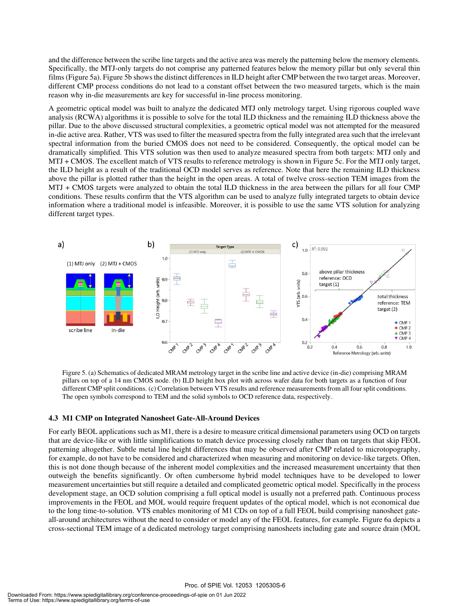and the difference between the scribe line targets and the active area was merely the patterning below the memory elements. Specifically, the MTJ-only targets do not comprise any patterned features below the memory pillar but only several thin films (Figure 5a). Figure 5b shows the distinct differences in ILD height after CMP between the two target areas. Moreover, different CMP process conditions do not lead to a constant offset between the two measured targets, which is the main reason why in-die measurements are key for successful in-line process monitoring.

A geometric optical model was built to analyze the dedicated MTJ only metrology target. Using rigorous coupled wave analysis (RCWA) algorithms it is possible to solve for the total ILD thickness and the remaining ILD thickness above the pillar. Due to the above discussed structural complexities, a geometric optical model was not attempted for the measured in-die active area. Rather, VTS was used to filter the measured spectra from the fully integrated area such that the irrelevant spectral information from the buried CMOS does not need to be considered. Consequently, the optical model can be dramatically simplified. This VTS solution was then used to analyze measured spectra from both targets: MTJ only and MTJ + CMOS. The excellent match of VTS results to reference metrology is shown in Figure 5c. For the MTJ only target, the ILD height as a result of the traditional OCD model serves as reference. Note that here the remaining ILD thickness above the pillar is plotted rather than the height in the open areas. A total of twelve cross-section TEM images from the MTJ + CMOS targets were analyzed to obtain the total ILD thickness in the area between the pillars for all four CMP conditions. These results confirm that the VTS algorithm can be used to analyze fully integrated targets to obtain device information where a traditional model is infeasible. Moreover, it is possible to use the same VTS solution for analyzing different target types.



Figure 5. (a) Schematics of dedicated MRAM metrology target in the scribe line and active device (in-die) comprising MRAM pillars on top of a 14 nm CMOS node. (b) ILD height box plot with across wafer data for both targets as a function of four different CMP split conditions. (c) Correlation between VTS results and reference measurements from all four split conditions. The open symbols correspond to TEM and the solid symbols to OCD reference data, respectively.

#### **4.3 M1 CMP on Integrated Nanosheet Gate-All-Around Devices**

For early BEOL applications such as M1, there is a desire to measure critical dimensional parameters using OCD on targets that are device-like or with little simplifications to match device processing closely rather than on targets that skip FEOL patterning altogether. Subtle metal line height differences that may be observed after CMP related to microtopography, for example, do not have to be considered and characterized when measuring and monitoring on device-like targets. Often, this is not done though because of the inherent model complexities and the increased measurement uncertainty that then outweigh the benefits significantly. Or often cumbersome hybrid model techniques have to be developed to lower measurement uncertainties but still require a detailed and complicated geometric optical model. Specifically in the process development stage, an OCD solution comprising a full optical model is usually not a preferred path. Continuous process improvements in the FEOL and MOL would require frequent updates of the optical model, which is not economical due to the long time-to-solution. VTS enables monitoring of M1 CDs on top of a full FEOL build comprising nanosheet gateall-around architectures without the need to consider or model any of the FEOL features, for example. Figure 6a depicts a cross-sectional TEM image of a dedicated metrology target comprising nanosheets including gate and source drain (MOL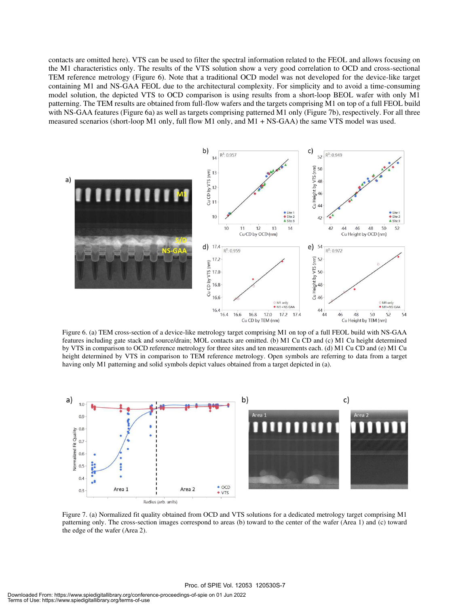contacts are omitted here). VTS can be used to filter the spectral information related to the FEOL and allows focusing on the M1 characteristics only. The results of the VTS solution show a very good correlation to OCD and cross-sectional TEM reference metrology (Figure 6). Note that a traditional OCD model was not developed for the device-like target containing M1 and NS-GAA FEOL due to the architectural complexity. For simplicity and to avoid a time-consuming model solution, the depicted VTS to OCD comparison is using results from a short-loop BEOL wafer with only M1 patterning. The TEM results are obtained from full-flow wafers and the targets comprising M1 on top of a full FEOL build with NS-GAA features (Figure 6a) as well as targets comprising patterned M1 only (Figure 7b), respectively. For all three measured scenarios (short-loop M1 only, full flow M1 only, and M1 + NS-GAA) the same VTS model was used.



Figure 6. (a) TEM cross-section of a device-like metrology target comprising M1 on top of a full FEOL build with NS-GAA features including gate stack and source/drain; MOL contacts are omitted. (b) M1 Cu CD and (c) M1 Cu height determined by VTS in comparison to OCD reference metrology for three sites and ten measurements each. (d) M1 Cu CD and (e) M1 Cu height determined by VTS in comparison to TEM reference metrology. Open symbols are referring to data from a target having only M1 patterning and solid symbols depict values obtained from a target depicted in (a).



Figure 7. (a) Normalized fit quality obtained from OCD and VTS solutions for a dedicated metrology target comprising M1 patterning only. The cross-section images correspond to areas (b) toward to the center of the wafer (Area 1) and (c) toward the edge of the wafer (Area 2).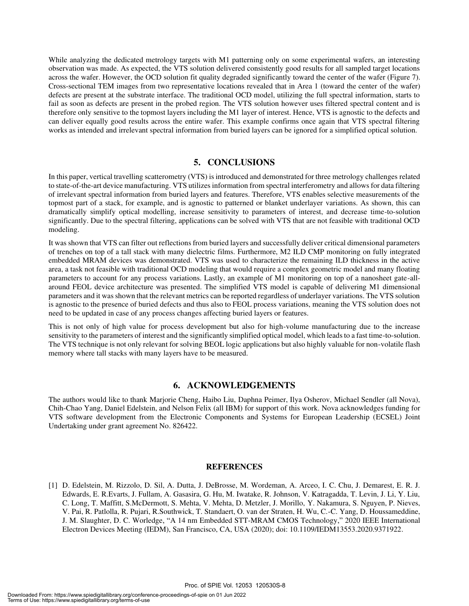While analyzing the dedicated metrology targets with M1 patterning only on some experimental wafers, an interesting observation was made. As expected, the VTS solution delivered consistently good results for all sampled target locations across the wafer. However, the OCD solution fit quality degraded significantly toward the center of the wafer (Figure 7). Cross-sectional TEM images from two representative locations revealed that in Area 1 (toward the center of the wafer) defects are present at the substrate interface. The traditional OCD model, utilizing the full spectral information, starts to fail as soon as defects are present in the probed region. The VTS solution however uses filtered spectral content and is therefore only sensitive to the topmost layers including the M1 layer of interest. Hence, VTS is agnostic to the defects and can deliver equally good results across the entire wafer. This example confirms once again that VTS spectral filtering works as intended and irrelevant spectral information from buried layers can be ignored for a simplified optical solution.

#### **5. CONCLUSIONS**

In this paper, vertical travelling scatterometry (VTS) is introduced and demonstrated for three metrology challenges related to state-of-the-art device manufacturing. VTS utilizes information from spectral interferometry and allows for data filtering of irrelevant spectral information from buried layers and features. Therefore, VTS enables selective measurements of the topmost part of a stack, for example, and is agnostic to patterned or blanket underlayer variations. As shown, this can dramatically simplify optical modelling, increase sensitivity to parameters of interest, and decrease time-to-solution significantly. Due to the spectral filtering, applications can be solved with VTS that are not feasible with traditional OCD modeling.

It was shown that VTS can filter out reflections from buried layers and successfully deliver critical dimensional parameters of trenches on top of a tall stack with many dielectric films. Furthermore, M2 ILD CMP monitoring on fully integrated embedded MRAM devices was demonstrated. VTS was used to characterize the remaining ILD thickness in the active area, a task not feasible with traditional OCD modeling that would require a complex geometric model and many floating parameters to account for any process variations. Lastly, an example of M1 monitoring on top of a nanosheet gate-allaround FEOL device architecture was presented. The simplified VTS model is capable of delivering M1 dimensional parameters and it was shown that the relevant metrics can be reported regardless of underlayer variations. The VTS solution is agnostic to the presence of buried defects and thus also to FEOL process variations, meaning the VTS solution does not need to be updated in case of any process changes affecting buried layers or features.

This is not only of high value for process development but also for high-volume manufacturing due to the increase sensitivity to the parameters of interest and the significantly simplified optical model, which leads to a fast time-to-solution. The VTS technique is not only relevant for solving BEOL logic applications but also highly valuable for non-volatile flash memory where tall stacks with many layers have to be measured.

#### **6. ACKNOWLEDGEMENTS**

The authors would like to thank Marjorie Cheng, Haibo Liu, Daphna Peimer, Ilya Osherov, Michael Sendler (all Nova), Chih-Chao Yang, Daniel Edelstein, and Nelson Felix (all IBM) for support of this work. Nova acknowledges funding for VTS software development from the Electronic Components and Systems for European Leadership (ECSEL) Joint Undertaking under grant agreement No. 826422.

#### **REFERENCES**

[1] D. Edelstein, M. Rizzolo, D. Sil, A. Dutta, J. DeBrosse, M. Wordeman, A. Arceo, I. C. Chu, J. Demarest, E. R. J. Edwards, E. R.Evarts, J. Fullam, A. Gasasira, G. Hu, M. Iwatake, R. Johnson, V. Katragadda, T. Levin, J. Li, Y. Liu, C. Long, T. Maffitt, S.McDermott, S. Mehta, V. Mehta, D. Metzler, J. Morillo, Y. Nakamura, S. Nguyen, P. Nieves, V. Pai, R. Patlolla, R. Pujari, R.Southwick, T. Standaert, O. van der Straten, H. Wu, C.-C. Yang, D. Houssameddine, J. M. Slaughter, D. C. Worledge, "A 14 nm Embedded STT-MRAM CMOS Technology," 2020 IEEE International Electron Devices Meeting (IEDM), San Francisco, CA, USA (2020); doi: 10.1109/IEDM13553.2020.9371922.